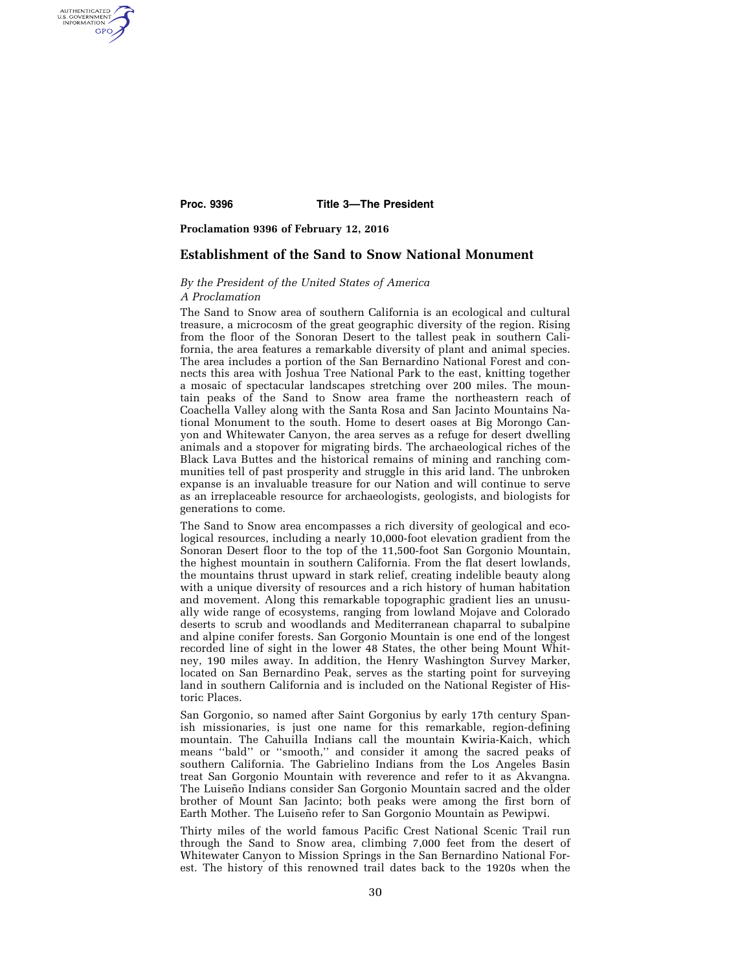AUTHENTICATED<br>U.S. GOVERNMENT<br>INFORMATION GPO

**Proc. 9396 Title 3—The President** 

**Proclamation 9396 of February 12, 2016** 

# **Establishment of the Sand to Snow National Monument**

# *By the President of the United States of America*

### *A Proclamation*

The Sand to Snow area of southern California is an ecological and cultural treasure, a microcosm of the great geographic diversity of the region. Rising from the floor of the Sonoran Desert to the tallest peak in southern California, the area features a remarkable diversity of plant and animal species. The area includes a portion of the San Bernardino National Forest and connects this area with Joshua Tree National Park to the east, knitting together a mosaic of spectacular landscapes stretching over 200 miles. The mountain peaks of the Sand to Snow area frame the northeastern reach of Coachella Valley along with the Santa Rosa and San Jacinto Mountains National Monument to the south. Home to desert oases at Big Morongo Canyon and Whitewater Canyon, the area serves as a refuge for desert dwelling animals and a stopover for migrating birds. The archaeological riches of the Black Lava Buttes and the historical remains of mining and ranching communities tell of past prosperity and struggle in this arid land. The unbroken expanse is an invaluable treasure for our Nation and will continue to serve as an irreplaceable resource for archaeologists, geologists, and biologists for generations to come.

The Sand to Snow area encompasses a rich diversity of geological and ecological resources, including a nearly 10,000-foot elevation gradient from the Sonoran Desert floor to the top of the 11,500-foot San Gorgonio Mountain, the highest mountain in southern California. From the flat desert lowlands, the mountains thrust upward in stark relief, creating indelible beauty along with a unique diversity of resources and a rich history of human habitation and movement. Along this remarkable topographic gradient lies an unusually wide range of ecosystems, ranging from lowland Mojave and Colorado deserts to scrub and woodlands and Mediterranean chaparral to subalpine and alpine conifer forests. San Gorgonio Mountain is one end of the longest recorded line of sight in the lower 48 States, the other being Mount Whitney, 190 miles away. In addition, the Henry Washington Survey Marker, located on San Bernardino Peak, serves as the starting point for surveying land in southern California and is included on the National Register of Historic Places.

San Gorgonio, so named after Saint Gorgonius by early 17th century Spanish missionaries, is just one name for this remarkable, region-defining mountain. The Cahuilla Indians call the mountain Kwiria-Kaich, which means ''bald'' or ''smooth,'' and consider it among the sacred peaks of southern California. The Gabrielino Indians from the Los Angeles Basin treat San Gorgonio Mountain with reverence and refer to it as Akvangna. The Luiseño Indians consider San Gorgonio Mountain sacred and the older brother of Mount San Jacinto; both peaks were among the first born of Earth Mother. The Luiseño refer to San Gorgonio Mountain as Pewipwi.

Thirty miles of the world famous Pacific Crest National Scenic Trail run through the Sand to Snow area, climbing 7,000 feet from the desert of Whitewater Canyon to Mission Springs in the San Bernardino National Forest. The history of this renowned trail dates back to the 1920s when the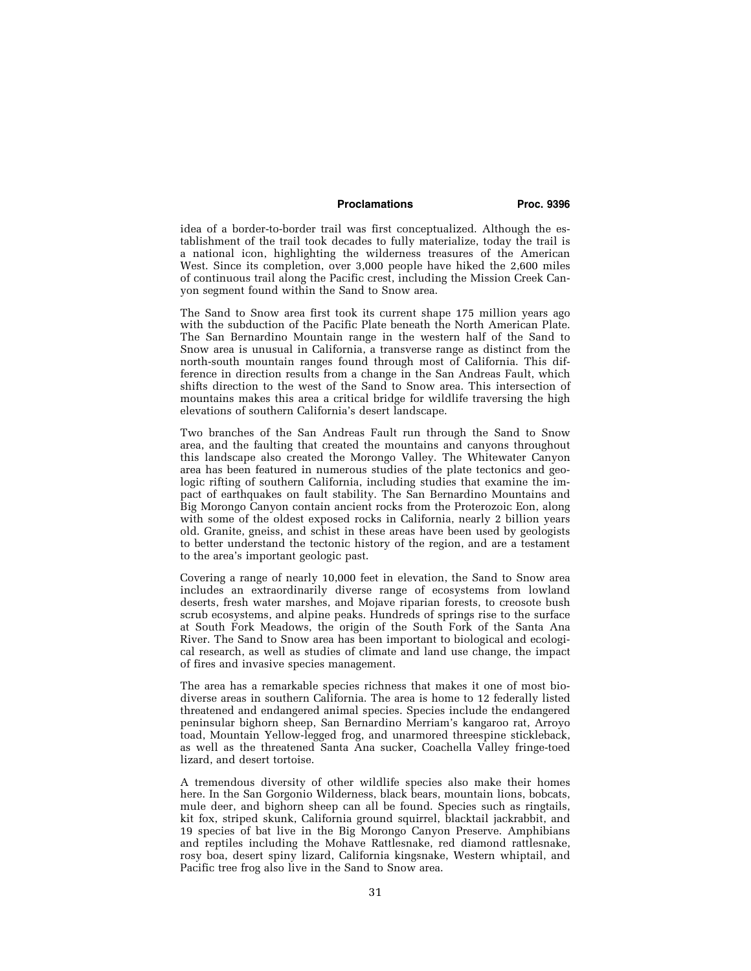## **Proclamations Proc. 9396**

idea of a border-to-border trail was first conceptualized. Although the establishment of the trail took decades to fully materialize, today the trail is a national icon, highlighting the wilderness treasures of the American West. Since its completion, over 3,000 people have hiked the 2,600 miles of continuous trail along the Pacific crest, including the Mission Creek Canyon segment found within the Sand to Snow area.

The Sand to Snow area first took its current shape 175 million years ago with the subduction of the Pacific Plate beneath the North American Plate. The San Bernardino Mountain range in the western half of the Sand to Snow area is unusual in California, a transverse range as distinct from the north-south mountain ranges found through most of California. This difference in direction results from a change in the San Andreas Fault, which shifts direction to the west of the Sand to Snow area. This intersection of mountains makes this area a critical bridge for wildlife traversing the high elevations of southern California's desert landscape.

Two branches of the San Andreas Fault run through the Sand to Snow area, and the faulting that created the mountains and canyons throughout this landscape also created the Morongo Valley. The Whitewater Canyon area has been featured in numerous studies of the plate tectonics and geologic rifting of southern California, including studies that examine the impact of earthquakes on fault stability. The San Bernardino Mountains and Big Morongo Canyon contain ancient rocks from the Proterozoic Eon, along with some of the oldest exposed rocks in California, nearly 2 billion years old. Granite, gneiss, and schist in these areas have been used by geologists to better understand the tectonic history of the region, and are a testament to the area's important geologic past.

Covering a range of nearly 10,000 feet in elevation, the Sand to Snow area includes an extraordinarily diverse range of ecosystems from lowland deserts, fresh water marshes, and Mojave riparian forests, to creosote bush scrub ecosystems, and alpine peaks. Hundreds of springs rise to the surface at South Fork Meadows, the origin of the South Fork of the Santa Ana River. The Sand to Snow area has been important to biological and ecological research, as well as studies of climate and land use change, the impact of fires and invasive species management.

The area has a remarkable species richness that makes it one of most biodiverse areas in southern California. The area is home to 12 federally listed threatened and endangered animal species. Species include the endangered peninsular bighorn sheep, San Bernardino Merriam's kangaroo rat, Arroyo toad, Mountain Yellow-legged frog, and unarmored threespine stickleback, as well as the threatened Santa Ana sucker, Coachella Valley fringe-toed lizard, and desert tortoise.

A tremendous diversity of other wildlife species also make their homes here. In the San Gorgonio Wilderness, black bears, mountain lions, bobcats, mule deer, and bighorn sheep can all be found. Species such as ringtails, kit fox, striped skunk, California ground squirrel, blacktail jackrabbit, and 19 species of bat live in the Big Morongo Canyon Preserve. Amphibians and reptiles including the Mohave Rattlesnake, red diamond rattlesnake, rosy boa, desert spiny lizard, California kingsnake, Western whiptail, and Pacific tree frog also live in the Sand to Snow area.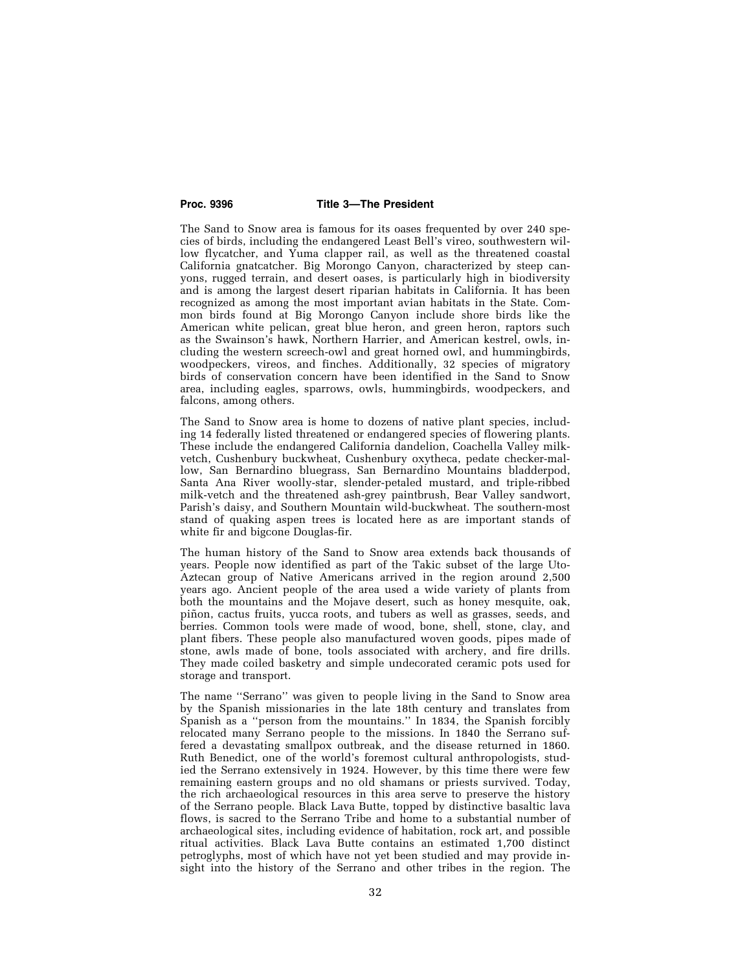### **Proc. 9396 Title 3—The President**

The Sand to Snow area is famous for its oases frequented by over 240 species of birds, including the endangered Least Bell's vireo, southwestern willow flycatcher, and Yuma clapper rail, as well as the threatened coastal California gnatcatcher. Big Morongo Canyon, characterized by steep canyons, rugged terrain, and desert oases, is particularly high in biodiversity and is among the largest desert riparian habitats in California. It has been recognized as among the most important avian habitats in the State. Common birds found at Big Morongo Canyon include shore birds like the American white pelican, great blue heron, and green heron, raptors such as the Swainson's hawk, Northern Harrier, and American kestrel, owls, including the western screech-owl and great horned owl, and hummingbirds, woodpeckers, vireos, and finches. Additionally, 32 species of migratory birds of conservation concern have been identified in the Sand to Snow area, including eagles, sparrows, owls, hummingbirds, woodpeckers, and falcons, among others.

The Sand to Snow area is home to dozens of native plant species, including 14 federally listed threatened or endangered species of flowering plants. These include the endangered California dandelion, Coachella Valley milkvetch, Cushenbury buckwheat, Cushenbury oxytheca, pedate checker-mallow, San Bernardino bluegrass, San Bernardino Mountains bladderpod, Santa Ana River woolly-star, slender-petaled mustard, and triple-ribbed milk-vetch and the threatened ash-grey paintbrush, Bear Valley sandwort, Parish's daisy, and Southern Mountain wild-buckwheat. The southern-most stand of quaking aspen trees is located here as are important stands of white fir and bigcone Douglas-fir.

The human history of the Sand to Snow area extends back thousands of years. People now identified as part of the Takic subset of the large Uto-Aztecan group of Native Americans arrived in the region around 2,500 years ago. Ancient people of the area used a wide variety of plants from both the mountains and the Mojave desert, such as honey mesquite, oak, piñon, cactus fruits, yucca roots, and tubers as well as grasses, seeds, and berries. Common tools were made of wood, bone, shell, stone, clay, and plant fibers. These people also manufactured woven goods, pipes made of stone, awls made of bone, tools associated with archery, and fire drills. They made coiled basketry and simple undecorated ceramic pots used for storage and transport.

The name ''Serrano'' was given to people living in the Sand to Snow area by the Spanish missionaries in the late 18th century and translates from Spanish as a ''person from the mountains.'' In 1834, the Spanish forcibly relocated many Serrano people to the missions. In 1840 the Serrano suffered a devastating smallpox outbreak, and the disease returned in 1860. Ruth Benedict, one of the world's foremost cultural anthropologists, studied the Serrano extensively in 1924. However, by this time there were few remaining eastern groups and no old shamans or priests survived. Today, the rich archaeological resources in this area serve to preserve the history of the Serrano people. Black Lava Butte, topped by distinctive basaltic lava flows, is sacred to the Serrano Tribe and home to a substantial number of archaeological sites, including evidence of habitation, rock art, and possible ritual activities. Black Lava Butte contains an estimated 1,700 distinct petroglyphs, most of which have not yet been studied and may provide insight into the history of the Serrano and other tribes in the region. The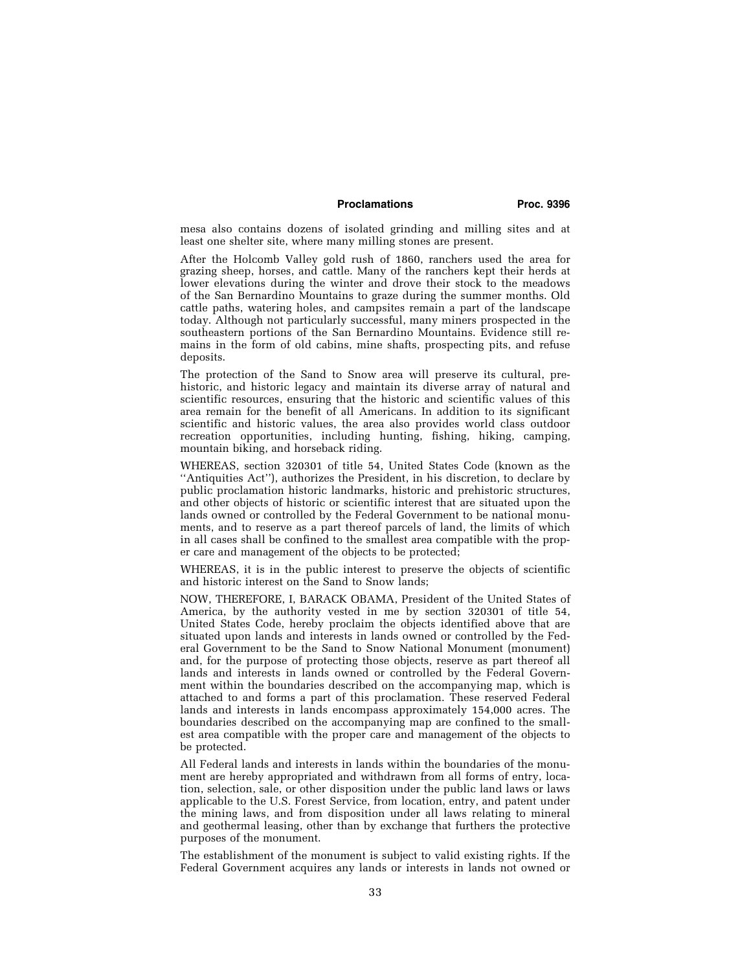## **Proclamations Proc. 9396**

mesa also contains dozens of isolated grinding and milling sites and at least one shelter site, where many milling stones are present.

After the Holcomb Valley gold rush of 1860, ranchers used the area for grazing sheep, horses, and cattle. Many of the ranchers kept their herds at lower elevations during the winter and drove their stock to the meadows of the San Bernardino Mountains to graze during the summer months. Old cattle paths, watering holes, and campsites remain a part of the landscape today. Although not particularly successful, many miners prospected in the southeastern portions of the San Bernardino Mountains. Evidence still remains in the form of old cabins, mine shafts, prospecting pits, and refuse deposits.

The protection of the Sand to Snow area will preserve its cultural, prehistoric, and historic legacy and maintain its diverse array of natural and scientific resources, ensuring that the historic and scientific values of this area remain for the benefit of all Americans. In addition to its significant scientific and historic values, the area also provides world class outdoor recreation opportunities, including hunting, fishing, hiking, camping, mountain biking, and horseback riding.

WHEREAS, section 320301 of title 54, United States Code (known as the ''Antiquities Act''), authorizes the President, in his discretion, to declare by public proclamation historic landmarks, historic and prehistoric structures, and other objects of historic or scientific interest that are situated upon the lands owned or controlled by the Federal Government to be national monuments, and to reserve as a part thereof parcels of land, the limits of which in all cases shall be confined to the smallest area compatible with the proper care and management of the objects to be protected;

WHEREAS, it is in the public interest to preserve the objects of scientific and historic interest on the Sand to Snow lands;

NOW, THEREFORE, I, BARACK OBAMA, President of the United States of America, by the authority vested in me by section 320301 of title 54, United States Code, hereby proclaim the objects identified above that are situated upon lands and interests in lands owned or controlled by the Federal Government to be the Sand to Snow National Monument (monument) and, for the purpose of protecting those objects, reserve as part thereof all lands and interests in lands owned or controlled by the Federal Government within the boundaries described on the accompanying map, which is attached to and forms a part of this proclamation. These reserved Federal lands and interests in lands encompass approximately 154,000 acres. The boundaries described on the accompanying map are confined to the smallest area compatible with the proper care and management of the objects to be protected.

All Federal lands and interests in lands within the boundaries of the monument are hereby appropriated and withdrawn from all forms of entry, location, selection, sale, or other disposition under the public land laws or laws applicable to the U.S. Forest Service, from location, entry, and patent under the mining laws, and from disposition under all laws relating to mineral and geothermal leasing, other than by exchange that furthers the protective purposes of the monument.

The establishment of the monument is subject to valid existing rights. If the Federal Government acquires any lands or interests in lands not owned or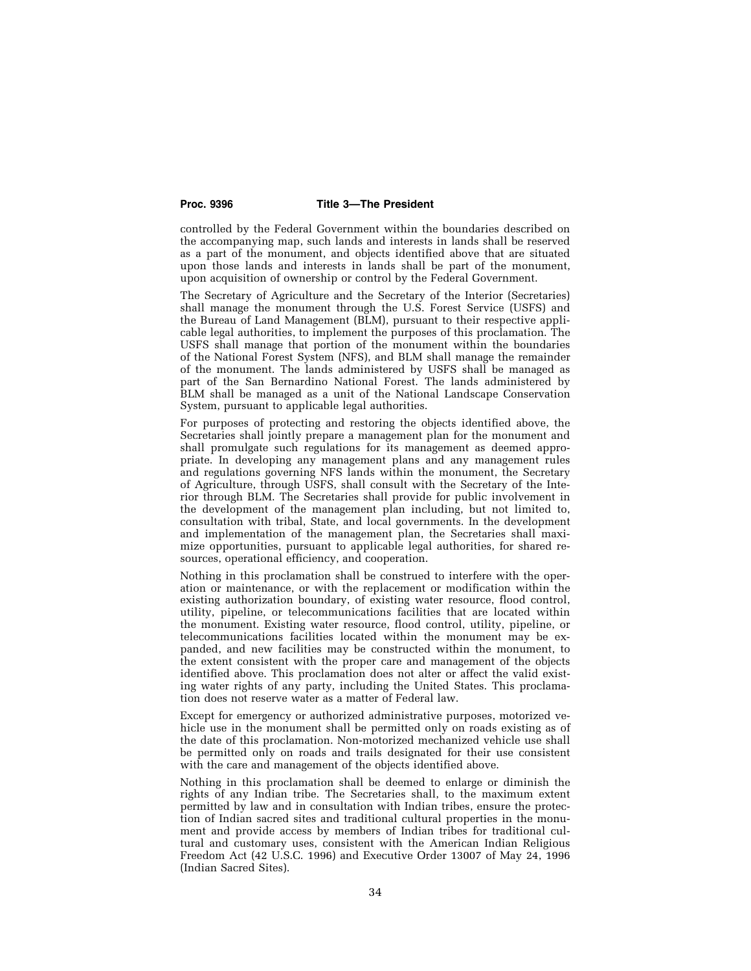### **Proc. 9396 Title 3—The President**

controlled by the Federal Government within the boundaries described on the accompanying map, such lands and interests in lands shall be reserved as a part of the monument, and objects identified above that are situated upon those lands and interests in lands shall be part of the monument, upon acquisition of ownership or control by the Federal Government.

The Secretary of Agriculture and the Secretary of the Interior (Secretaries) shall manage the monument through the U.S. Forest Service (USFS) and the Bureau of Land Management (BLM), pursuant to their respective applicable legal authorities, to implement the purposes of this proclamation. The USFS shall manage that portion of the monument within the boundaries of the National Forest System (NFS), and BLM shall manage the remainder of the monument. The lands administered by USFS shall be managed as part of the San Bernardino National Forest. The lands administered by BLM shall be managed as a unit of the National Landscape Conservation System, pursuant to applicable legal authorities.

For purposes of protecting and restoring the objects identified above, the Secretaries shall jointly prepare a management plan for the monument and shall promulgate such regulations for its management as deemed appropriate. In developing any management plans and any management rules and regulations governing NFS lands within the monument, the Secretary of Agriculture, through USFS, shall consult with the Secretary of the Interior through BLM. The Secretaries shall provide for public involvement in the development of the management plan including, but not limited to, consultation with tribal, State, and local governments. In the development and implementation of the management plan, the Secretaries shall maximize opportunities, pursuant to applicable legal authorities, for shared resources, operational efficiency, and cooperation.

Nothing in this proclamation shall be construed to interfere with the operation or maintenance, or with the replacement or modification within the existing authorization boundary, of existing water resource, flood control, utility, pipeline, or telecommunications facilities that are located within the monument. Existing water resource, flood control, utility, pipeline, or telecommunications facilities located within the monument may be expanded, and new facilities may be constructed within the monument, to the extent consistent with the proper care and management of the objects identified above. This proclamation does not alter or affect the valid existing water rights of any party, including the United States. This proclamation does not reserve water as a matter of Federal law.

Except for emergency or authorized administrative purposes, motorized vehicle use in the monument shall be permitted only on roads existing as of the date of this proclamation. Non-motorized mechanized vehicle use shall be permitted only on roads and trails designated for their use consistent with the care and management of the objects identified above.

Nothing in this proclamation shall be deemed to enlarge or diminish the rights of any Indian tribe. The Secretaries shall, to the maximum extent permitted by law and in consultation with Indian tribes, ensure the protection of Indian sacred sites and traditional cultural properties in the monument and provide access by members of Indian tribes for traditional cultural and customary uses, consistent with the American Indian Religious Freedom Act (42 U.S.C. 1996) and Executive Order 13007 of May 24, 1996 (Indian Sacred Sites).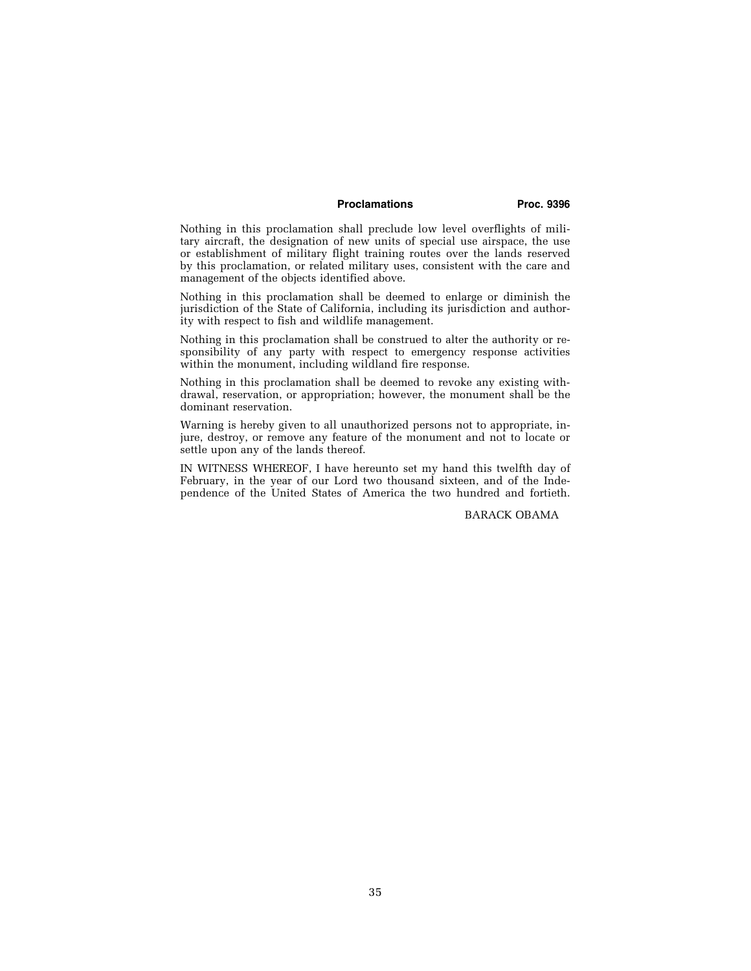## **Proclamations Proc. 9396**

Nothing in this proclamation shall preclude low level overflights of military aircraft, the designation of new units of special use airspace, the use or establishment of military flight training routes over the lands reserved by this proclamation, or related military uses, consistent with the care and management of the objects identified above.

Nothing in this proclamation shall be deemed to enlarge or diminish the jurisdiction of the State of California, including its jurisdiction and authority with respect to fish and wildlife management.

Nothing in this proclamation shall be construed to alter the authority or responsibility of any party with respect to emergency response activities within the monument, including wildland fire response.

Nothing in this proclamation shall be deemed to revoke any existing withdrawal, reservation, or appropriation; however, the monument shall be the dominant reservation.

Warning is hereby given to all unauthorized persons not to appropriate, injure, destroy, or remove any feature of the monument and not to locate or settle upon any of the lands thereof.

IN WITNESS WHEREOF, I have hereunto set my hand this twelfth day of February, in the year of our Lord two thousand sixteen, and of the Independence of the United States of America the two hundred and fortieth.

BARACK OBAMA